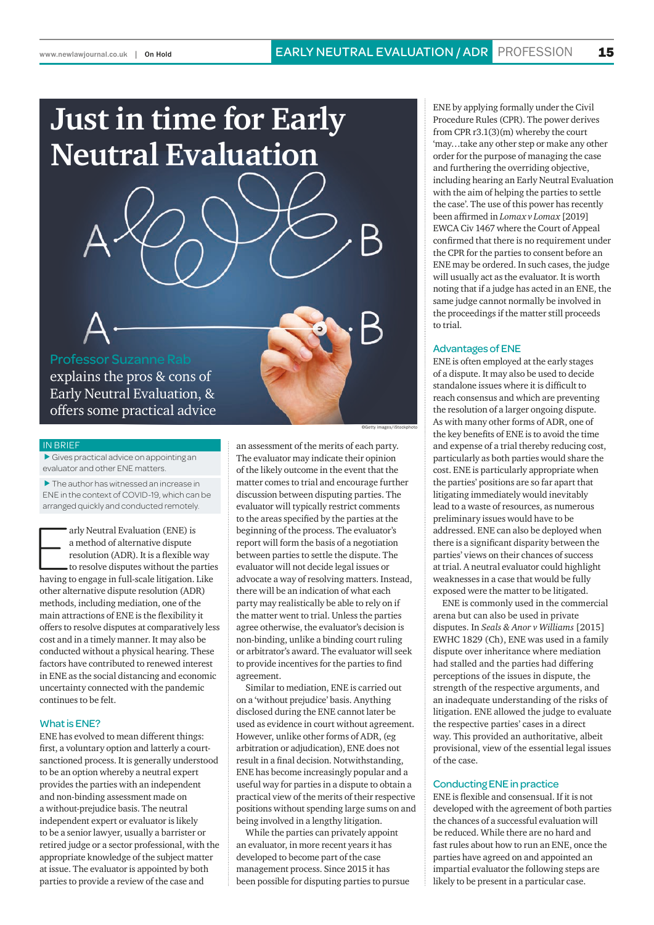# **Just in time for Early Neutral Evaluation**



Professor Suzanne Rab explains the pros & cons of Early Neutral Evaluation, & offers some practical advice

#### IN BRIEF

 $\blacktriangleright$  Gives practical advice on appointing an evaluator and other ENE matters.

 $\blacktriangleright$  The author has witnessed an increase in ENE in the context of COVID-19, which can be arranged quickly and conducted remotely.

arly Neutral Evaluation (ENE) is<br>a method of alternative dispute<br>resolution (ADR). It is a flexible way<br>to resolve disputes without the partie<br>having to engage in full-scale litigation. Like arly Neutral Evaluation (ENE) is a method of alternative dispute resolution (ADR). It is a flexible way to resolve disputes without the parties other alternative dispute resolution (ADR) methods, including mediation, one of the main attractions of ENE is the flexibility it offers to resolve disputes at comparatively less cost and in a timely manner. It may also be conducted without a physical hearing. These factors have contributed to renewed interest in ENE as the social distancing and economic uncertainty connected with the pandemic continues to be felt.

#### What is ENE?

ENE has evolved to mean different things: first, a voluntary option and latterly a courtsanctioned process. It is generally understood to be an option whereby a neutral expert provides the parties with an independent and non-binding assessment made on a without-prejudice basis. The neutral independent expert or evaluator is likely to be a senior lawyer, usually a barrister or retired judge or a sector professional, with the appropriate knowledge of the subject matter at issue. The evaluator is appointed by both parties to provide a review of the case and

an assessment of the merits of each party. The evaluator may indicate their opinion of the likely outcome in the event that the matter comes to trial and encourage further discussion between disputing parties. The evaluator will typically restrict comments to the areas specified by the parties at the beginning of the process. The evaluator's report will form the basis of a negotiation between parties to settle the dispute. The evaluator will not decide legal issues or advocate a way of resolving matters. Instead, there will be an indication of what each party may realistically be able to rely on if the matter went to trial. Unless the parties agree otherwise, the evaluator's decision is non-binding, unlike a binding court ruling or arbitrator's award. The evaluator will seek to provide incentives for the parties to find agreement.

©Getty images/iStockphoto

Similar to mediation, ENE is carried out on a 'without prejudice' basis. Anything disclosed during the ENE cannot later be used as evidence in court without agreement. However, unlike other forms of ADR, (eg arbitration or adjudication), ENE does not result in a final decision. Notwithstanding, ENE has become increasingly popular and a useful way for parties in a dispute to obtain a practical view of the merits of their respective positions without spending large sums on and being involved in a lengthy litigation.

While the parties can privately appoint an evaluator, in more recent years it has developed to become part of the case management process. Since 2015 it has been possible for disputing parties to pursue

ENE by applying formally under the Civil Procedure Rules (CPR). The power derives from CPR r3.1(3)(m) whereby the court 'may…take any other step or make any other order for the purpose of managing the case and furthering the overriding objective, including hearing an Early Neutral Evaluation with the aim of helping the parties to settle the case'. The use of this power has recently been affirmed in *Lomax v Lomax* [2019] EWCA Civ 1467 where the Court of Appeal confirmed that there is no requirement under the CPR for the parties to consent before an ENE may be ordered. In such cases, the judge will usually act as the evaluator. It is worth noting that if a judge has acted in an ENE, the same judge cannot normally be involved in the proceedings if the matter still proceeds to trial.

#### Advantages of ENE

ENE is often employed at the early stages of a dispute. It may also be used to decide standalone issues where it is difficult to reach consensus and which are preventing the resolution of a larger ongoing dispute. As with many other forms of ADR, one of the key benefits of ENE is to avoid the time and expense of a trial thereby reducing cost, particularly as both parties would share the cost. ENE is particularly appropriate when the parties' positions are so far apart that litigating immediately would inevitably lead to a waste of resources, as numerous preliminary issues would have to be addressed. ENE can also be deployed when there is a significant disparity between the parties' views on their chances of success at trial. A neutral evaluator could highlight weaknesses in a case that would be fully exposed were the matter to be litigated.

ENE is commonly used in the commercial arena but can also be used in private disputes. In *Seals & Anor v Williams* [2015] EWHC 1829 (Ch), ENE was used in a family dispute over inheritance where mediation had stalled and the parties had differing perceptions of the issues in dispute, the strength of the respective arguments, and an inadequate understanding of the risks of litigation. ENE allowed the judge to evaluate the respective parties' cases in a direct way. This provided an authoritative, albeit provisional, view of the essential legal issues of the case.

#### Conducting ENE in practice

ENE is flexible and consensual. If it is not developed with the agreement of both parties the chances of a successful evaluation will be reduced. While there are no hard and fast rules about how to run an ENE, once the parties have agreed on and appointed an impartial evaluator the following steps are likely to be present in a particular case.